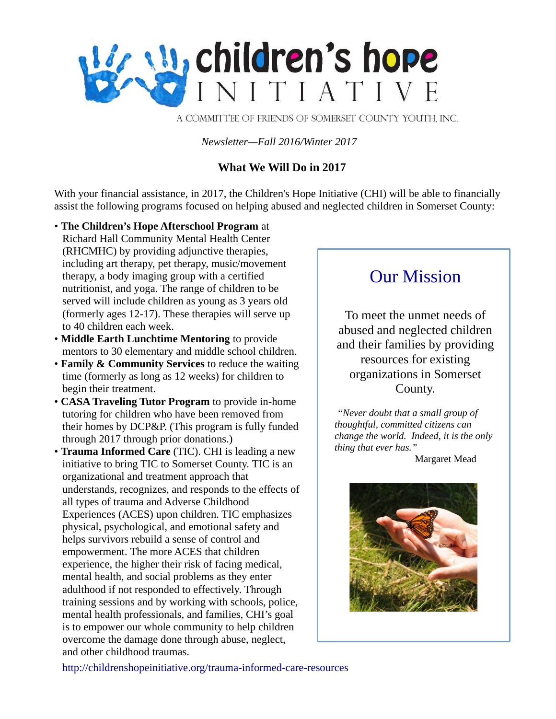

A COMMITTEE OF FRIENDS OF SOMERSET COUNTY YOUTH, INC.

*Newsletter—Fall 2016/Winter 2017*

# **What We Will Do in 2017**

With your financial assistance, in 2017, the Children's Hope Initiative (CHI) will be able to financially assist the following programs focused on helping abused and neglected children in Somerset County:

- **The Children's Hope Afterschool Program** at Richard Hall Community Mental Health Center (RHCMHC) by providing adjunctive therapies, including art therapy, pet therapy, music/movement therapy, a body imaging group with a certified nutritionist, and yoga. The range of children to be served will include children as young as 3 years old (formerly ages 12-17). These therapies will serve up to 40 children each week.
- **Middle Earth Lunchtime Mentoring** to provide mentors to 30 elementary and middle school children.
- **Family & Community Services** to reduce the waiting time (formerly as long as 12 weeks) for children to begin their treatment.
- **CASA Traveling Tutor Program** to provide in-home tutoring for children who have been removed from their homes by DCP&P. (This program is fully funded through 2017 through prior donations.)
- **Trauma Informed Care** (TIC). CHI is leading a new initiative to bring TIC to Somerset County. TIC is an organizational and treatment approach that understands, recognizes, and responds to the effects of all types of trauma and Adverse Childhood Experiences (ACES) upon children. TIC emphasizes physical, psychological, and emotional safety and helps survivors rebuild a sense of control and empowerment. The more ACES that children experience, the higher their risk of facing medical, mental health, and social problems as they enter adulthood if not responded to effectively. Through training sessions and by working with schools, police, mental health professionals, and families, CHI's goal is to empower our whole community to help children overcome the damage done through abuse, neglect, and other childhood traumas.

# Our Mission

To meet the unmet needs of abused and neglected children and their families by providing resources for existing organizations in Somerset County.

*"Never doubt that a small group of thoughtful, committed citizens can change the world. Indeed, it is the only thing that ever has."*

Margaret Mead



<http://childrenshopeinitiative.org/trauma-informed-care-resources>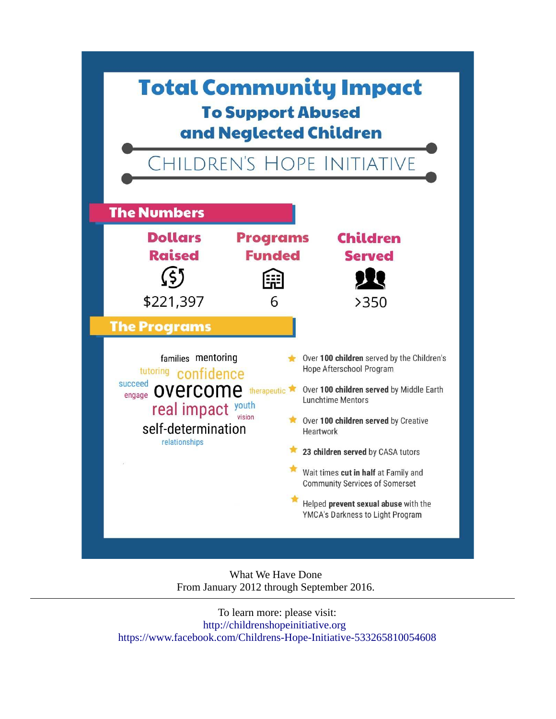

What We Have Done From January 2012 through September 2016.

To learn more: please visit: [http://childrenshopeinitiative.org](http://childrenshopeinitiative.org/)  <https://www.facebook.com/Childrens-Hope-Initiative-533265810054608>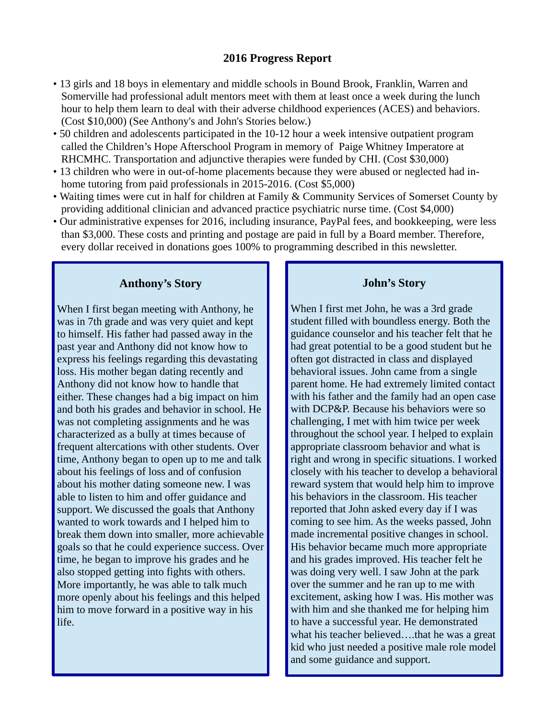## **2016 Progress Report**

- 13 girls and 18 boys in elementary and middle schools in Bound Brook, Franklin, Warren and Somerville had professional adult mentors meet with them at least once a week during the lunch hour to help them learn to deal with their adverse childhood experiences (ACES) and behaviors. (Cost \$10,000) (See Anthony's and John's Stories below.)
- 50 children and adolescents participated in the 10-12 hour a week intensive outpatient program called the Children's Hope Afterschool Program in memory of Paige Whitney Imperatore at RHCMHC. Transportation and adjunctive therapies were funded by CHI. (Cost \$30,000)
- 13 children who were in out-of-home placements because they were abused or neglected had inhome tutoring from paid professionals in 2015-2016. (Cost \$5,000)
- Waiting times were cut in half for children at Family & Community Services of Somerset County by providing additional clinician and advanced practice psychiatric nurse time. (Cost \$4,000)
- Our administrative expenses for 2016, including insurance, PayPal fees, and bookkeeping, were less than \$3,000. These costs and printing and postage are paid in full by a Board member. Therefore, every dollar received in donations goes 100% to programming described in this newsletter.

# **Anthony's Story**

When I first began meeting with Anthony, he was in 7th grade and was very quiet and kept to himself. His father had passed away in the past year and Anthony did not know how to express his feelings regarding this devastating loss. His mother began dating recently and Anthony did not know how to handle that either. These changes had a big impact on him and both his grades and behavior in school. He was not completing assignments and he was characterized as a bully at times because of frequent altercations with other students. Over time, Anthony began to open up to me and talk about his feelings of loss and of confusion about his mother dating someone new. I was able to listen to him and offer guidance and support. We discussed the goals that Anthony wanted to work towards and I helped him to break them down into smaller, more achievable goals so that he could experience success. Over time, he began to improve his grades and he also stopped getting into fights with others. More importantly, he was able to talk much more openly about his feelings and this helped him to move forward in a positive way in his life.

## **John's Story**

When I first met John, he was a 3rd grade student filled with boundless energy. Both the guidance counselor and his teacher felt that he had great potential to be a good student but he often got distracted in class and displayed behavioral issues. John came from a single parent home. He had extremely limited contact with his father and the family had an open case with DCP&P. Because his behaviors were so challenging, I met with him twice per week throughout the school year. I helped to explain appropriate classroom behavior and what is right and wrong in specific situations. I worked closely with his teacher to develop a behavioral reward system that would help him to improve his behaviors in the classroom. His teacher reported that John asked every day if I was coming to see him. As the weeks passed, John made incremental positive changes in school. His behavior became much more appropriate and his grades improved. His teacher felt he was doing very well. I saw John at the park over the summer and he ran up to me with excitement, asking how I was. His mother was with him and she thanked me for helping him to have a successful year. He demonstrated what his teacher believed….that he was a great kid who just needed a positive male role model and some guidance and support.